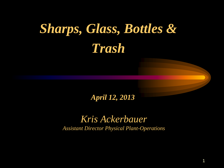# *Sharps, Glass, Bottles & Trash*

*April 12, 2013*

*Kris Ackerbauer Assistant Director Physical Plant-Operations*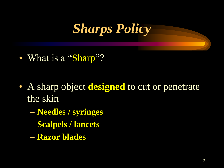

• What is a "Sharp"?

- A sharp object **designed** to cut or penetrate the skin
	- **Needles / syringes**
	- **Scalpels / lancets**
	- **Razor blades**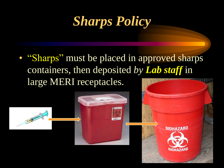## *Sharps Policy*

• "Sharps" must be placed in approved sharps containers, then deposited *by Lab staff* in large MERI receptacles.

3

**BINHAZARD**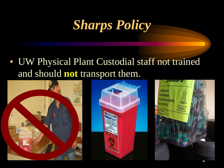# *Sharps Policy*

• UW Physical Plant Custodial staff not trained and should **not** transport them.



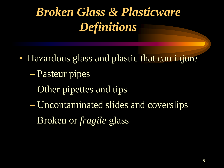# *Broken Glass & Plasticware Definitions*

- Hazardous glass and plastic that can injure
	- Pasteur pipes
	- Other pipettes and tips
	- Uncontaminated slides and coverslips
	- Broken or *fragile* glass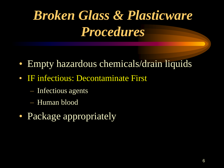# *Broken Glass & Plasticware Procedures*

- Empty hazardous chemicals/drain liquids
- IF infectious: Decontaminate First
	- Infectious agents
	- Human blood
- Package appropriately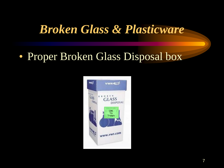#### • Proper Broken Glass Disposal box

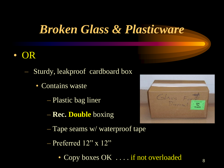#### • OR

- Sturdy, leakproof cardboard box
	- Contains waste
		- Plastic bag liner
		- **Rec. Double** boxing
		- Tape seams w/ waterproof tape
		- Preferred 12" x 12"
			- Copy boxes OK ... if not overloaded



8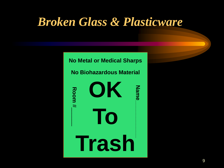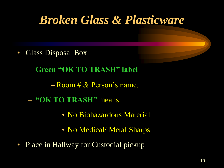- Glass Disposal Box
	- **Green "OK TO TRASH" label**
		- $-$  Room  $\# \&$  Person's name.
	- **"OK TO TRASH"** means:
		- No Biohazardous Material
		- No Medical/ Metal Sharps
- Place in Hallway for Custodial pickup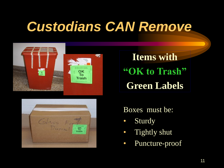## *Custodians CAN Remove*



**Items with "OK to Trash" Green Labels**



Boxes must be:

- Sturdy
- Tightly shut
- Puncture-proof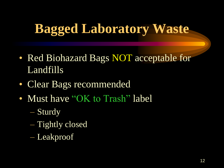# **Bagged Laboratory Waste**

- Red Biohazard Bags **NOT** acceptable for Landfills
- Clear Bags recommended
- Must have "OK to Trash" label
	- Sturdy
	- Tightly closed
	- Leakproof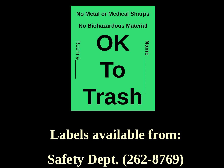

## **Labels available from:**

**Safety Dept. (262-8769)**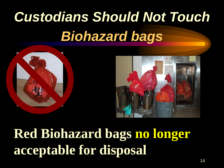# *Custodians Should Not Touch Biohazard bags*



# **Red Biohazard bags no longer acceptable for disposal**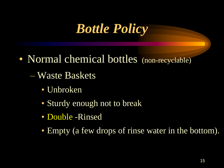## *Bottle Policy*

- Normal chemical bottles (non-recyclable)
	- Waste Baskets
		- Unbroken
		- Sturdy enough not to break
		- Double -Rinsed
		- Empty (a few drops of rinse water in the bottom).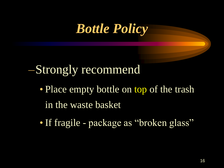## *Bottle Policy*

### –Strongly recommend

- Place empty bottle on top of the trash in the waste basket
- If fragile package as "broken glass"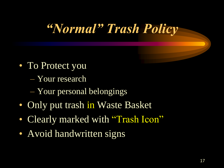# *"Normal" Trash Policy*

- To Protect you
	- Your research
	- Your personal belongings
- Only put trash in Waste Basket
- Clearly marked with "Trash Icon"
- Avoid handwritten signs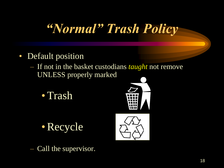# *"Normal" Trash Policy*

- Default position
	- If not in the basket custodians *taught* not remove UNLESS properly marked
		- •Trash



•Recycle



Call the supervisor.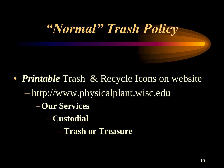# *"Normal" Trash Policy*

• *Printable* Trash & Recycle Icons on website – http://www.physicalplant.wisc.edu –**Our Services** –**Custodial** –**Trash or Treasure**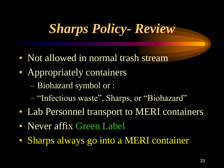# *Sharps Policy- Review*

- Not allowed in normal trash stream
- Appropriately containers
	- Biohazard symbol or :
	- "Infectious waste", Sharps, or "Biohazard"
- Lab Personnel transport to MERI containers
- Never affix Green Label
- Sharps always go into a MERI container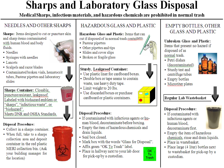#### **Sharps and Laboratory Glass Disposal**

Medical Sharps, infectious materials, and hazardous chemicals are prohibited in normal trash

#### NEEDLES AND OTHER SHARPS

Sharps: Items designed to cut or puncture skin and sharp items contaminated with human blood and body fluids.

- Needles
- Syringes with needles
- Lancets
- Scalpels and razor blades
- Contaminated broken vials, hematocrit tubes, Pasteur pipettes and laboratory slides

Sharps Container: Closable, puncture resistant, leakproof. Labeled with biohazard emblem or "sharps", "infectious waste", or "biohazard". Meets DNR and OSHA Standards.

#### **Disposal Procedure:**

- Collect in a sharps container.
- When full, take to a sharps collection area and deposit container in the red plastic MERI collection bin. (Ask your building manager for the location)



#### HAZARDOUS GLASS AND PLASTIC

Hazardous Glass and Plastic: Items that can cut if disposed of in normal trash containers.

- Pasteur pipettes
- Other pipettes and tips
- Slides and cover slips
- Broken or fragile glass

#### **Sturdy, Leakproof Container:**

- Use plastic liner for cardboard boxes.
- Double box or tape seams to contain waste, use heavy duty tape.
- Limit weight to 20 lbs.
- Use discarded boxes or purchase cardboard or plastic containers.

#### **Disposal Procedure:**

- If contaminated with infectious agents or human blood, decontaminate before boxing.
- Empty the item of hazardous chemicals and drain liquids.
- Seal box closed.
- Mark box with the words "Glass for Disposal".
- Affix green "OK To Trash" label.
- Place in hallway next to your lab door for pick-up by a custodian.

#### **EMPTY BOTTLES, OTHER GLASS AND PLASTIC**

#### **Unbroken Glass and Plastic:**

Items that present no hazard if disposed of as

normal trash.

- Petri dishes (decontaminated)
- Sturdy test and centrifuge tubes



- Empty bottles
- Microtiter plates



#### **Disposal Procedure:**

• If contaminated with infectious agents or human blood. decontaminate first.



- Empty the item of hazardous chemicals, rinse and drain liquids.
- Place in wastebasket.
- Place large (4 liter) bottles next to wastebasket for pick-up by a custodian.









OK

To

Trash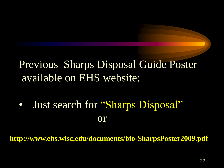#### Previous Sharps Disposal Guide Poster available on EHS website:

• Just search for "Sharps Disposal" or

**http://www.ehs.wisc.edu/documents/bio-SharpsPoster2009.pdf**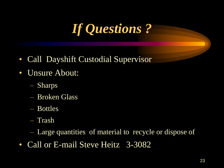# *If Questions ?*

- Call Dayshift Custodial Supervisor
- Unsure About:
	- Sharps
	- Broken Glass
	- Bottles
	- Trash
	- Large quantities of material to recycle or dispose of
- Call or E-mail Steve Heitz 3-3082